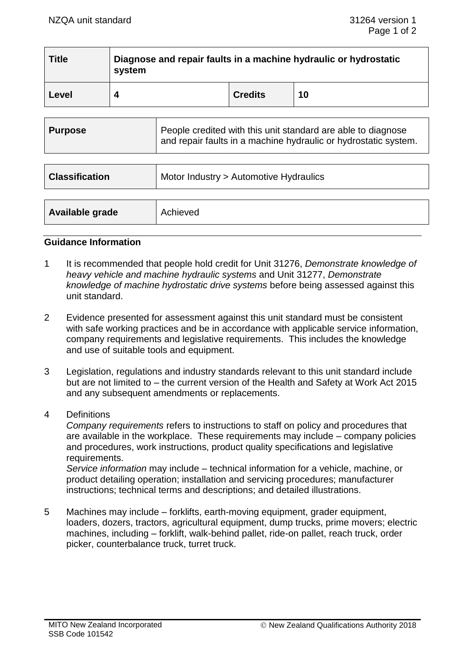| <b>Title</b>   | Diagnose and repair faults in a machine hydraulic or hydrostatic<br>system |                                                              |                |    |
|----------------|----------------------------------------------------------------------------|--------------------------------------------------------------|----------------|----|
| Level          | 4                                                                          |                                                              | <b>Credits</b> | 10 |
|                |                                                                            |                                                              |                |    |
| <b>Purpose</b> |                                                                            | People credited with this unit standard are able to diagnose |                |    |

| <b>Classification</b> | Motor Industry > Automotive Hydraulics |  |
|-----------------------|----------------------------------------|--|
|                       |                                        |  |
| Available grade       | Achieved                               |  |

and repair faults in a machine hydraulic or hydrostatic system.

### **Guidance Information**

- 1 It is recommended that people hold credit for Unit 31276, *Demonstrate knowledge of heavy vehicle and machine hydraulic systems* and Unit 31277, *Demonstrate knowledge of machine hydrostatic drive systems* before being assessed against this unit standard.
- 2 Evidence presented for assessment against this unit standard must be consistent with safe working practices and be in accordance with applicable service information, company requirements and legislative requirements. This includes the knowledge and use of suitable tools and equipment.
- 3 Legislation, regulations and industry standards relevant to this unit standard include but are not limited to – the current version of the Health and Safety at Work Act 2015 and any subsequent amendments or replacements.
- 4 Definitions

*Company requirements* refers to instructions to staff on policy and procedures that are available in the workplace. These requirements may include – company policies and procedures, work instructions, product quality specifications and legislative requirements.

*Service information* may include – technical information for a vehicle, machine, or product detailing operation; installation and servicing procedures; manufacturer instructions; technical terms and descriptions; and detailed illustrations.

5 Machines may include – forklifts, earth-moving equipment, grader equipment, loaders, dozers, tractors, agricultural equipment, dump trucks, prime movers; electric machines, including – forklift, walk-behind pallet, ride-on pallet, reach truck, order picker, counterbalance truck, turret truck.